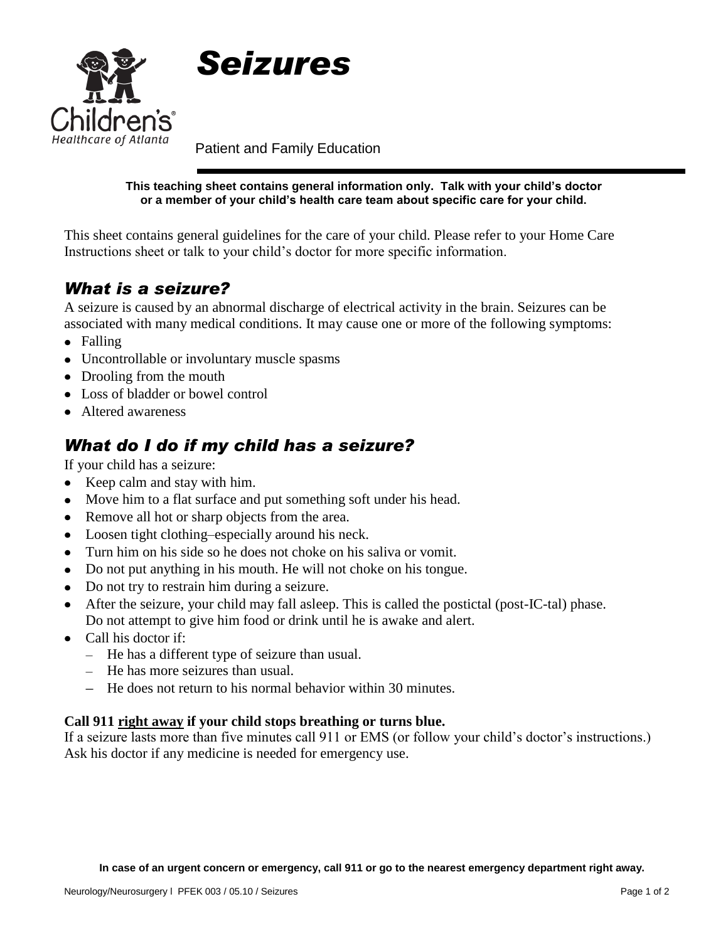



Patient and Family Education

**This teaching sheet contains general information only. Talk with your child's doctor or a member of your child's health care team about specific care for your child.**

This sheet contains general guidelines for the care of your child. Please refer to your Home Care Instructions sheet or talk to your child's doctor for more specific information.

# *What is a seizure?*

A seizure is caused by an abnormal discharge of electrical activity in the brain. Seizures can be associated with many medical conditions. It may cause one or more of the following symptoms:

- Falling
- Uncontrollable or involuntary muscle spasms
- Drooling from the mouth
- Loss of bladder or bowel control
- Altered awareness

# *What do I do if my child has a seizure?*

If your child has a seizure:

- Keep calm and stay with him.
- Move him to a flat surface and put something soft under his head.
- Remove all hot or sharp objects from the area.
- Loosen tight clothing–especially around his neck.
- Turn him on his side so he does not choke on his saliva or vomit.
- Do not put anything in his mouth. He will not choke on his tongue.
- Do not try to restrain him during a seizure.
- After the seizure, your child may fall asleep. This is called the postictal (post-IC-tal) phase. Do not attempt to give him food or drink until he is awake and alert.
- Call his doctor if:
	- He has a different type of seizure than usual.
	- He has more seizures than usual.
	- He does not return to his normal behavior within 30 minutes.

#### **Call 911 right away if your child stops breathing or turns blue.**

If a seizure lasts more than five minutes call 911 or EMS (or follow your child's doctor's instructions.) Ask his doctor if any medicine is needed for emergency use.